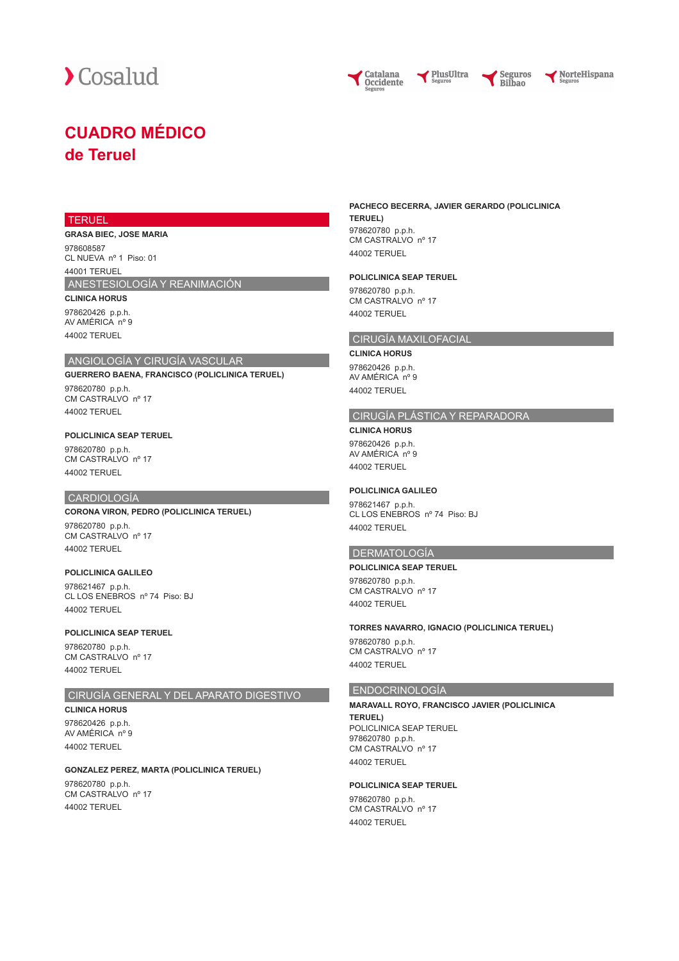



NorteHispana

## **CUADRO MÉDICO de Teruel**

#### **TERUEL**

**GRASA BIEC, JOSE MARIA** 978608587 CL NUEVA nº 1 Piso: 01

44001 TERUEL

ANESTESIOLOGÍA Y REANIMACIÓN

**CLINICA HORUS** 978620426 p.p.h. AV AMÉRICA nº 9

 $44002$  TEDHEL

## ANGIOLOGÍA Y CIRUGÍA VASCULAR

**GUERRERO BAENA, FRANCISCO (POLICLINICA TERUEL)** 978620780 p.p.h. CM CASTRALVO nº 17

44002 TERUEL

#### **POLICLINICA SEAP TERUEL**

978620780 p.p.h. CM CASTRALVO nº 17 44002 TERUEL

## CARDIOLOGÍA

## **CORONA VIRON, PEDRO (POLICLINICA TERUEL)**

978620780 p.p.h. CM CASTRALVO nº 17 44002 TERUEL

#### **POLICLINICA GALILEO**

978621467 p.p.h. CL LOS ENEBROS nº 74 Piso: BJ 44002 TERUEL

#### **POLICLINICA SEAP TERUEL**

978620780 p.p.h. CM CASTRALVO nº 17 44002 TERUEL

## CIRUGÍA GENERAL Y DEL APARATO DIGESTIVO

**CLINICA HORUS**

978620426 p.p.h. AV AMÉRICA nº 9 44002 TERUEL

## **GONZALEZ PEREZ, MARTA (POLICLINICA TERUEL)**

978620780 p.p.h. CM CASTRALVO nº 17 44002 TERUEL

#### **PACHECO BECERRA, JAVIER GERARDO (POLICLINICA TERUEL)** 978620780 p.p.h. CM CASTRALVO nº 17

PlusUltra

44002 TERUEL

#### **POLICLINICA SEAP TERUEL**

978620780 p.p.h. CM CASTRALVO nº 17 44002 TERUEL

## CIRUGÍA MAXILOFACIAL

**CLINICA HORUS** 978620426 p.p.h. AV AMÉRICA nº 9 44002 TERUEL

### CIRUGÍA PLÁSTICA Y REPARADORA

**CLINICA HORUS** 978620426 p.p.h. AV AMÉRICA nº 9 44002 TERUEL

#### **POLICLINICA GALILEO**

978621467 p.p.h. CL LOS ENEBROS nº 74 Piso: BJ 44002 TERUEL

#### DERMATOLOGÍA

## **POLICLINICA SEAP TERUEL**

978620780 p.p.h. CM CASTRALVO nº 17 44002 TERUEL

#### **TORRES NAVARRO, IGNACIO (POLICLINICA TERUEL)**

978620780 p.p.h. CM CASTRALVO nº 17 44002 TERUEL

## ENDOCRINOLOGÍA

**MARAVALL ROYO, FRANCISCO JAVIER (POLICLINICA TERUEL)** POLICLINICA SEAP TERUEL 978620780 p.p.h. CM CASTRALVO nº 17

44002 TERUEL

## **POLICLINICA SEAP TERUEL**

978620780 p.p.h. CM CASTRALVO nº 17 44002 TERUEL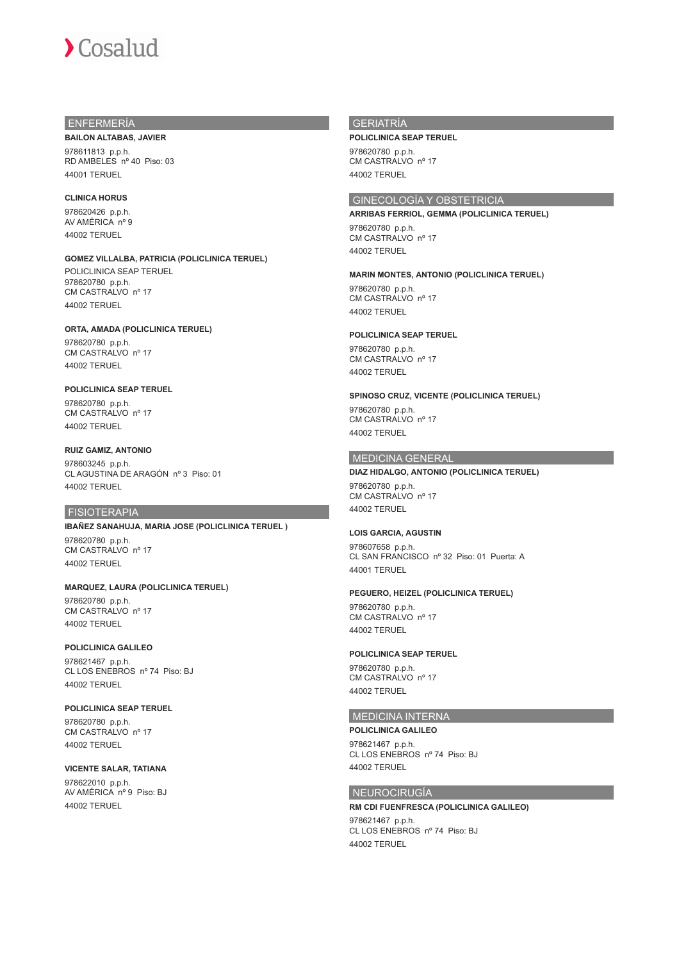# Cosalud

## ENFERMERÍA

#### **BAILON ALTABAS, JAVIER**

978611813 p.p.h. RD AMBELES nº 40 Piso: 03 44001 TERUEL

## **CLINICA HORUS**

978620426 p.p.h. AV AMÉRICA nº 9 44002 TERUEL

## **GOMEZ VILLALBA, PATRICIA (POLICLINICA TERUEL)**

POLICLINICA SEAP TERUEL 978620780 p.p.h. CM CASTRALVO nº 17 44002 TERUEL

#### **ORTA, AMADA (POLICLINICA TERUEL)**

978620780 p.p.h. CM CASTRALVO nº 17 44002 TERUEL

### **POLICLINICA SEAP TERUEL**

978620780 p.p.h. CM CASTRALVO nº 17 44002 TERUEL

## **RUIZ GAMIZ, ANTONIO**

978603245 p.p.h. CL AGUSTINA DE ARAGÓN nº 3 Piso: 01 44002 TERUEL

#### FISIOTERAPIA

#### **IBAÑEZ SANAHUJA, MARIA JOSE (POLICLINICA TERUEL )**

978620780 p.p.h. CM CASTRALVO nº 17 44002 TERUEL

#### **MARQUEZ, LAURA (POLICLINICA TERUEL)**

978620780 p.p.h. CM CASTRALVO nº 17 44002 TERUEL

## **POLICLINICA GALILEO**

978621467 p.p.h. CL LOS ENEBROS nº 74 Piso: BJ 44002 TERUEL

#### **POLICLINICA SEAP TERUEL**

978620780 p.p.h. CM CASTRALVO nº 17 44002 TERUEL

## **VICENTE SALAR, TATIANA**

978622010 p.p.h. AV AMÉRICA nº 9 Piso: BJ 44002 TERUEL

## GERIATRÍA

#### **POLICLINICA SEAP TERUEL**

978620780 p.p.h. CM CASTRALVO nº 17 44002 TERUEL

## GINECOLOGÍA Y OBSTETRICIA

## **ARRIBAS FERRIOL, GEMMA (POLICLINICA TERUEL)**

978620780 p.p.h. CM CASTRALVO nº 17 44002 TERUEL

#### **MARIN MONTES, ANTONIO (POLICLINICA TERUEL)**

978620780 p.p.h. CM CASTRALVO nº 17 44002 TERUEL

## **POLICLINICA SEAP TERUEL**

978620780 p.p.h. CM CASTRALVO nº 17 44002 TERUEL

## **SPINOSO CRUZ, VICENTE (POLICLINICA TERUEL)**

978620780 p.p.h. CM CASTRALVO nº 17 44002 TERUEL

## MEDICINA GENERAL

## **DIAZ HIDALGO, ANTONIO (POLICLINICA TERUEL)**

978620780 p.p.h. CM CASTRALVO nº 17 44002 TERUEL

## **LOIS GARCIA, AGUSTIN**

978607658 p.p.h. CL SAN FRANCISCO nº 32 Piso: 01 Puerta: A 44001 TERUEL

### **PEGUERO, HEIZEL (POLICLINICA TERUEL)**

978620780 p.p.h. CM CASTRALVO nº 17 44002 TERUEL

#### **POLICLINICA SEAP TERUEL**

978620780 p.p.h. CM CASTRALVO nº 17 44002 TERUEL

## MEDICINA INTERNA

**POLICLINICA GALILEO**

978621467 p.p.h. CL LOS ENEBROS nº 74 Piso: BJ 44002 TERUEL

## NEUROCIRUGÍA

## **RM CDI FUENFRESCA (POLICLINICA GALILEO)**

978621467 p.p.h. CL LOS ENEBROS nº 74 Piso: BJ 44002 TERUEL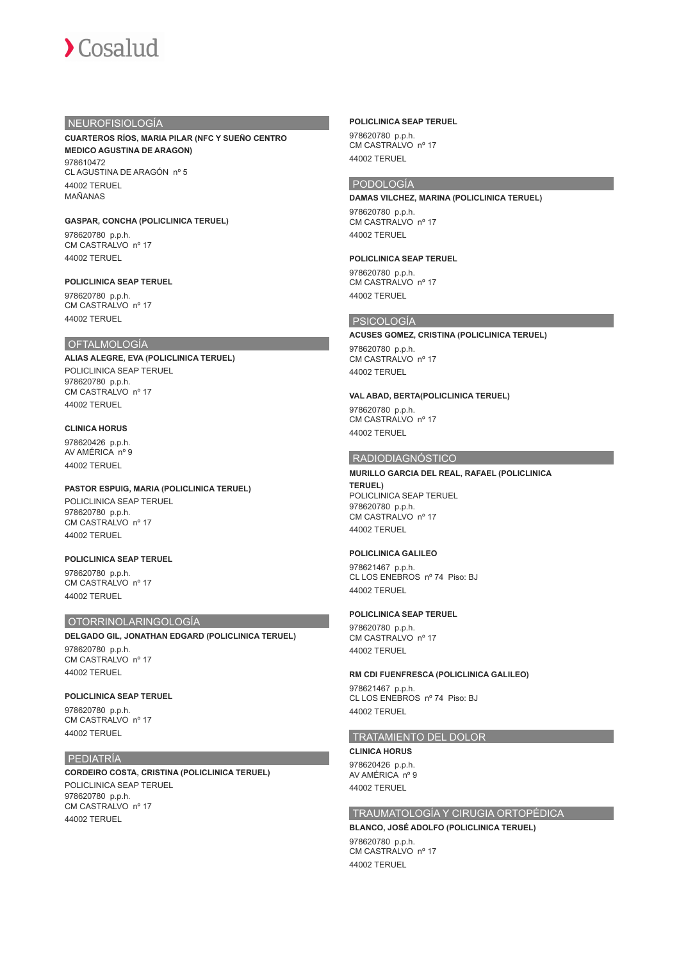

## NEUROFISIOLOGÍA

#### **CUARTEROS RÍOS, MARIA PILAR (NFC Y SUEÑO CENTRO MEDICO AGUSTINA DE ARAGON)**

078610472 CL AGUSTINA DE ARAGÓN nº 5 44002 TERUEL MAÑANAS

### **GASPAR, CONCHA (POLICLINICA TERUEL)**

978620780 p.p.h. CM CASTRALVO nº 17 44002 TERUEL

## **POLICLINICA SEAP TERUEL**

978620780 p.p.h. CM CASTRALVO nº 17 44002 TERUEL

## OFTALMOLOGÍA

**ALIAS ALEGRE, EVA (POLICLINICA TERUEL)** POLICLINICA SEAP TERUEL 978620780 p.p.h. CM CASTRALVO nº 17 44002 TERUEL

#### **CLINICA HORUS**

978620426 p.p.h. AV AMÉRICA nº 9 44002 TERUEL

## **PASTOR ESPUIG, MARIA (POLICLINICA TERUEL)**

POLICLINICA SEAP TERUEL 978620780 p.p.h. CM CASTRALVO nº 17 44002 TERUEL

### **POLICLINICA SEAP TERUEL**

978620780 p.p.h. CM CASTRALVO nº 17 44002 TERUEL

#### OTORRINOLARINGOLOGÍA

**DELGADO GIL, JONATHAN EDGARD (POLICLINICA TERUEL)** 978620780 p.p.h.

CM CASTRALVO nº 17 44002 TERUEL

## **POLICLINICA SEAP TERUEL**

978620780 p.p.h. CM CASTRALVO nº 17 44002 TERUEL

## PEDIATRÍA

**CORDEIRO COSTA, CRISTINA (POLICLINICA TERUEL)** POLICLINICA SEAP TERUEL 978620780 p.p.h. CM CASTRALVO nº 17 44002 TERUEL

#### **POLICLINICA SEAP TERUEL**

978620780 p.p.h. CM CASTRALVO nº 17 44002 TERUEL

## PODOLOGÍA

44002 TERUEL

**DAMAS VILCHEZ, MARINA (POLICLINICA TERUEL)** 978620780 p.p.h. CM CASTRALVO nº 17

## **POLICLINICA SEAP TERUEL**

978620780 p.p.h. CM CASTRALVO nº 17 44002 TERUEL

## PSICOLOGÍA

#### **ACUSES GOMEZ, CRISTINA (POLICLINICA TERUEL)**

978620780 p.p.h. CM CASTRALVO nº 17 44002 TERUEL

## **VAL ABAD, BERTA(POLICLINICA TERUEL)**

978620780 p.p.h. CM CASTRALVO nº 17 44002 TERUEL

## RADIODIAGNÓSTICO

## **MURILLO GARCIA DEL REAL, RAFAEL (POLICLINICA**

**TERUEL)** POLICLINICA SEAP TERUEL 978620780 p.p.h. CM CASTRALVO nº 17 44002 TERUEL

#### **POLICLINICA GALILEO**

978621467 p.p.h. CL LOS ENEBROS nº 74 Piso: BJ 44002 TERUEL

#### **POLICLINICA SEAP TERUEL**

978620780 p.p.h. CM CASTRALVO nº 17 44002 TERUEL

#### **RM CDI FUENFRESCA (POLICLINICA GALILEO)**

978621467 p.p.h. CL LOS ENEBROS nº 74 Piso: BJ 44002 TERUEL

## TRATAMIENTO DEL DOLOR

#### **CLINICA HORUS**

978620426 p.p.h. AV AMÉRICA nº 9 44002 TERUEL

## TRAUMATOLOGÍA Y CIRUGIA ORTOPÉDICA

**BLANCO, JOSÉ ADOLFO (POLICLINICA TERUEL)** 978620780 p.p.h.

CM CASTRALVO nº 17 44002 TERUEL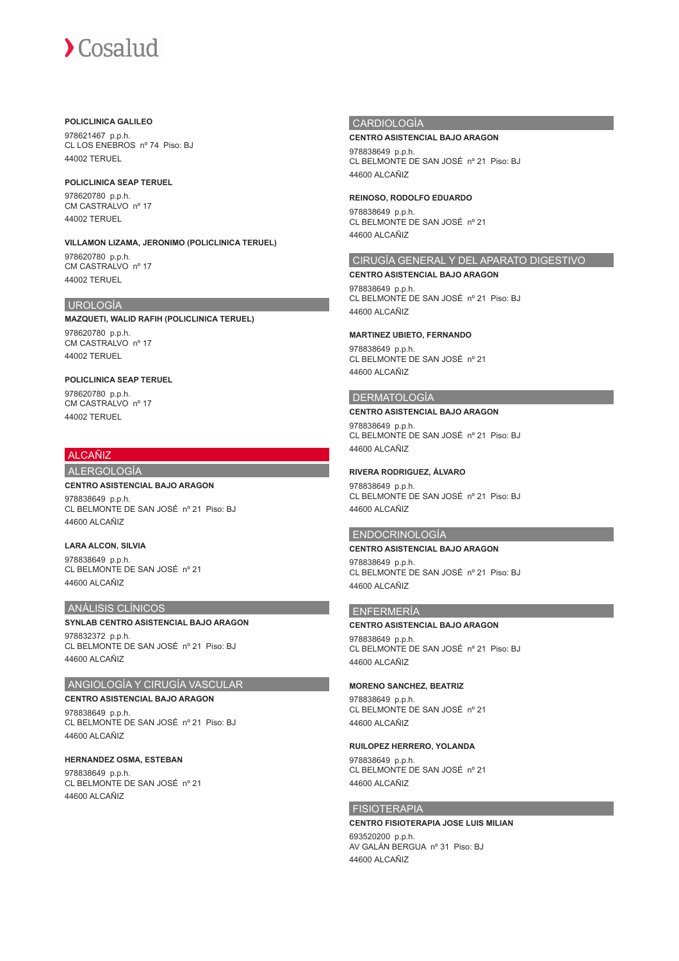# Cosalud

## **POLICLINICA GALILEO**

978621467 p.p.h. CL LOS ENEBROS nº 74 Piso: BJ 44002 TERUEL

#### **POLICLINICA SEAP TERUEL**

978620780 p.p.h. CM CASTRALVO nº 17 44002 TERUEL

## **VILLAMON LIZAMA, JERONIMO (POLICLINICA TERUEL)** 978620780 p.p.h.

CM CASTRALVO nº 17 44002 TERUEL

## UROLOGÍA

**MAZQUETI, WALID RAFIH (POLICLINICA TERUEL)** 978620780 p.p.h. CM CASTRALVO nº 17 44002 TERUEL

## **POLICLINICA SEAP TERUEL**

978620780 p.p.h. CM CASTRALVO nº 17 44002 TERUEL

## ALCAÑIZ

## ALERGOLOGÍA

#### **CENTRO ASISTENCIAL BAJO ARAGON**

978838649 p.p.h. CL BELMONTE DE SAN JOSÉ nº 21 Piso: BJ 44600 ALCAÑIZ

## **LARA ALCON, SILVIA**

978838649 p.p.h. CL BELMONTE DE SAN JOSÉ nº 21 44600 ALCAÑIZ

## ANÁLISIS CLÍNICOS

## **SYNLAB CENTRO ASISTENCIAL BAJO ARAGON**

978832372 p.p.h. CL BELMONTE DE SAN JOSÉ nº 21 Piso: BJ 44600 ALCAÑIZ

## ANGIOLOGÍA Y CIRUGÍA VASCULAR

**CENTRO ASISTENCIAL BAJO ARAGON** 978838649 p.p.h. CL BELMONTE DE SAN JOSÉ nº 21 Piso: BJ 44600 ALCAÑIZ

#### **HERNANDEZ OSMA, ESTEBAN** 978838649 p.p.h. CL BELMONTE DE SAN JOSÉ nº 21 44600 ALCAÑIZ

## **CARDIOLOGÍA**

## **CENTRO ASISTENCIAL BAJO ARAGON**

978838649 p.p.h. CL BELMONTE DE SAN JOSÉ nº 21 Piso: BJ 44600 ALCAÑIZ

### **REINOSO, RODOLFO EDUARDO**

978838649 p.p.h. CL BELMONTE DE SAN JOSÉ nº 21 44600 ALCAÑIZ

## CIRUGÍA GENERAL Y DEL APARATO DIGESTIVO

**CENTRO ASISTENCIAL BAJO ARAGON** 978838649 p.p.h. CL BELMONTE DE SAN JOSÉ nº 21 Piso: BJ 44600 ALCAÑIZ

### **MARTINEZ UBIETO, FERNANDO**

978838649 p.p.h. CL BELMONTE DE SAN JOSÉ nº 21 44600 ALCAÑIZ

## DERMATOLOGÍA

**CENTRO ASISTENCIAL BAJO ARAGON** 978838649 p.p.h. CL BELMONTE DE SAN JOSÉ nº 21 Piso: BJ 44600 ALCAÑIZ

### **RIVERA RODRIGUEZ, ÁLVARO**

978838649 p.p.h. CL BELMONTE DE SAN JOSÉ nº 21 Piso: BJ 44600 ALCAÑIZ

### ENDOCRINOLOGÍA

## **CENTRO ASISTENCIAL BAJO ARAGON**

978838649 p.p.h. CL BELMONTE DE SAN JOSÉ nº 21 Piso: BJ 44600 ALCAÑIZ

## ENFERMERÍA

#### **CENTRO ASISTENCIAL BAJO ARAGON**

978838649 p.p.h. CL BELMONTE DE SAN JOSÉ nº 21 Piso: BJ 44600 ALCAÑIZ

#### **MORENO SANCHEZ, BEATRIZ**

978838649 p.p.h. CL BELMONTE DE SAN JOSÉ nº 21 44600 ALCAÑIZ

## **RUILOPEZ HERRERO, YOLANDA**

978838649 p.p.h. CL BELMONTE DE SAN JOSÉ nº 21 44600 ALCAÑIZ

## **FISIOTERAPIA**

**CENTRO FISIOTERAPIA JOSE LUIS MILIAN** 693520200 p.p.h. AV GALÁN BERGUA nº 31 Piso: BJ 44600 ALCAÑIZ